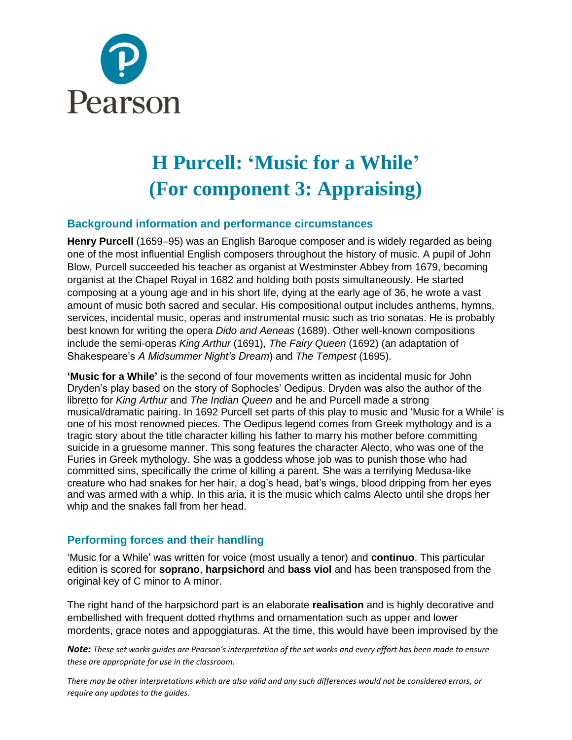

# **H Purcell: 'Music for a While' (For component 3: Appraising)**

#### **Background information and performance circumstances**

**Henry Purcell** (1659–95) was an English Baroque composer and is widely regarded as being one of the most influential English composers throughout the history of music. A pupil of John Blow, Purcell succeeded his teacher as organist at Westminster Abbey from 1679, becoming organist at the Chapel Royal in 1682 and holding both posts simultaneously. He started composing at a young age and in his short life, dying at the early age of 36, he wrote a vast amount of music both sacred and secular. His compositional output includes anthems, hymns, services, incidental music, operas and instrumental music such as trio sonatas. He is probably best known for writing the opera *Dido and Aeneas* (1689). Other well-known compositions include the semi-operas *King Arthur* (1691), *The Fairy Queen* (1692) (an adaptation of Shakespeare's *A Midsummer Night's Dream*) and *The Tempest* (1695).

**'Music for a While'** is the second of four movements written as incidental music for John Dryden's play based on the story of Sophocles' Oedipus. Dryden was also the author of the libretto for *King Arthur* and *The Indian Queen* and he and Purcell made a strong musical/dramatic pairing. In 1692 Purcell set parts of this play to music and 'Music for a While' is one of his most renowned pieces. The Oedipus legend comes from Greek mythology and is a tragic story about the title character killing his father to marry his mother before committing suicide in a gruesome manner. This song features the character Alecto, who was one of the Furies in Greek mythology. She was a goddess whose job was to punish those who had committed sins, specifically the crime of killing a parent. She was a terrifying Medusa-like creature who had snakes for her hair, a dog's head, bat's wings, blood dripping from her eyes and was armed with a whip. In this aria, it is the music which calms Alecto until she drops her whip and the snakes fall from her head.

#### **Performing forces and their handling**

'Music for a While' was written for voice (most usually a tenor) and **continuo**. This particular edition is scored for **soprano**, **harpsichord** and **bass viol** and has been transposed from the original key of C minor to A minor.

The right hand of the harpsichord part is an elaborate **realisation** and is highly decorative and embellished with frequent dotted rhythms and ornamentation such as upper and lower mordents, grace notes and appoggiaturas. At the time, this would have been improvised by the

*Note: These set works guides are Pearson's interpretation of the set works and every effort has been made to ensure these are appropriate for use in the classroom.*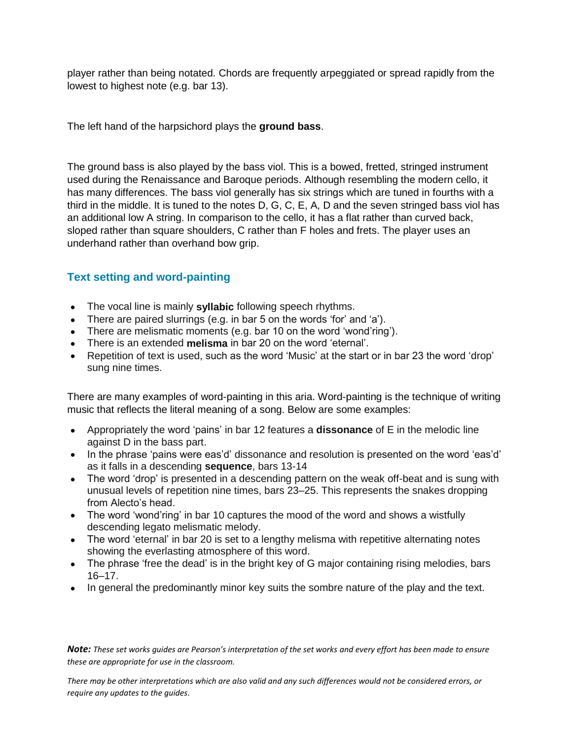player rather than being notated. Chords are frequently arpeggiated or spread rapidly from the lowest to highest note (e.g. bar 13).

The left hand of the harpsichord plays the **ground bass**.

The ground bass is also played by the bass viol. This is a bowed, fretted, stringed instrument used during the Renaissance and Baroque periods. Although resembling the modern cello, it has many differences. The bass viol generally has six strings which are tuned in fourths with a third in the middle. It is tuned to the notes D, G, C, E, A, D and the seven stringed bass viol has an additional low A string. In comparison to the cello, it has a flat rather than curved back, sloped rather than square shoulders, C rather than F holes and frets. The player uses an underhand rather than overhand bow grip.

## **Text setting and word-painting**

- The vocal line is mainly **syllabic** following speech rhythms.
- There are paired slurrings (e.g. in bar 5 on the words 'for' and 'a').
- There are melismatic moments (e.g. bar 10 on the word 'wond'ring').
- There is an extended **melisma** in bar 20 on the word 'eternal'.
- Repetition of text is used, such as the word 'Music' at the start or in bar 23 the word 'drop' sung nine times.

There are many examples of word-painting in this aria. Word-painting is the technique of writing music that reflects the literal meaning of a song. Below are some examples:

- Appropriately the word 'pains' in bar 12 features a **dissonance** of E in the melodic line against D in the bass part.
- In the phrase 'pains were eas'd' dissonance and resolution is presented on the word 'eas'd' as it falls in a descending **sequence**, bars 13-14
- The word 'drop' is presented in a descending pattern on the weak off-beat and is sung with unusual levels of repetition nine times, bars 23–25. This represents the snakes dropping from Alecto's head.
- The word 'wond'ring' in bar 10 captures the mood of the word and shows a wistfully descending legato melismatic melody.
- The word 'eternal' in bar 20 is set to a lengthy melisma with repetitive alternating notes showing the everlasting atmosphere of this word.
- The phrase 'free the dead' is in the bright key of G major containing rising melodies, bars 16–17.
- In general the predominantly minor key suits the sombre nature of the play and the text.

*Note: These set works guides are Pearson's interpretation of the set works and every effort has been made to ensure these are appropriate for use in the classroom.*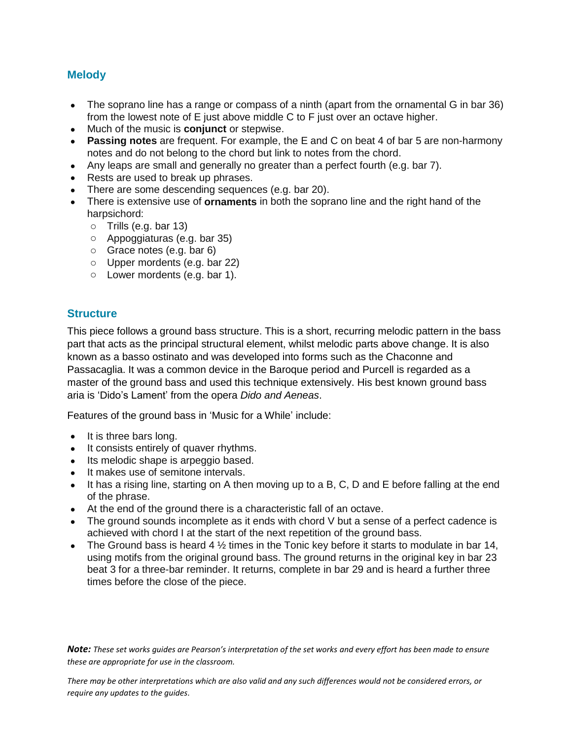## **Melody**

- The soprano line has a range or compass of a ninth (apart from the ornamental G in bar 36) from the lowest note of E just above middle C to F just over an octave higher.
- Much of the music is **conjunct** or stepwise.
- **Passing notes** are frequent. For example, the E and C on beat 4 of bar 5 are non-harmony notes and do not belong to the chord but link to notes from the chord.
- Any leaps are small and generally no greater than a perfect fourth (e.g. bar 7).
- Rests are used to break up phrases.
- There are some descending sequences (e.g. bar 20).
- There is extensive use of **ornaments** in both the soprano line and the right hand of the harpsichord:
	- o Trills (e.g. bar 13)
	- o Appoggiaturas (e.g. bar 35)
	- o Grace notes (e.g. bar 6)
	- o Upper mordents (e.g. bar 22)
	- o Lower mordents (e.g. bar 1).

#### **Structure**

This piece follows a ground bass structure. This is a short, recurring melodic pattern in the bass part that acts as the principal structural element, whilst melodic parts above change. It is also known as a basso ostinato and was developed into forms such as the Chaconne and Passacaglia. It was a common device in the Baroque period and Purcell is regarded as a master of the ground bass and used this technique extensively. His best known ground bass aria is 'Dido's Lament' from the opera *Dido and Aeneas*.

Features of the ground bass in 'Music for a While' include:

- It is three bars long.
- It consists entirely of quaver rhythms.
- Its melodic shape is arpeggio based.
- It makes use of semitone intervals.
- It has a rising line, starting on A then moving up to a B, C, D and E before falling at the end of the phrase.
- At the end of the ground there is a characteristic fall of an octave.
- The ground sounds incomplete as it ends with chord V but a sense of a perfect cadence is achieved with chord I at the start of the next repetition of the ground bass.
- The Ground bass is heard 4  $\frac{1}{2}$  times in the Tonic key before it starts to modulate in bar 14, using motifs from the original ground bass. The ground returns in the original key in bar 23 beat 3 for a three-bar reminder. It returns, complete in bar 29 and is heard a further three times before the close of the piece.

*Note: These set works guides are Pearson's interpretation of the set works and every effort has been made to ensure these are appropriate for use in the classroom.*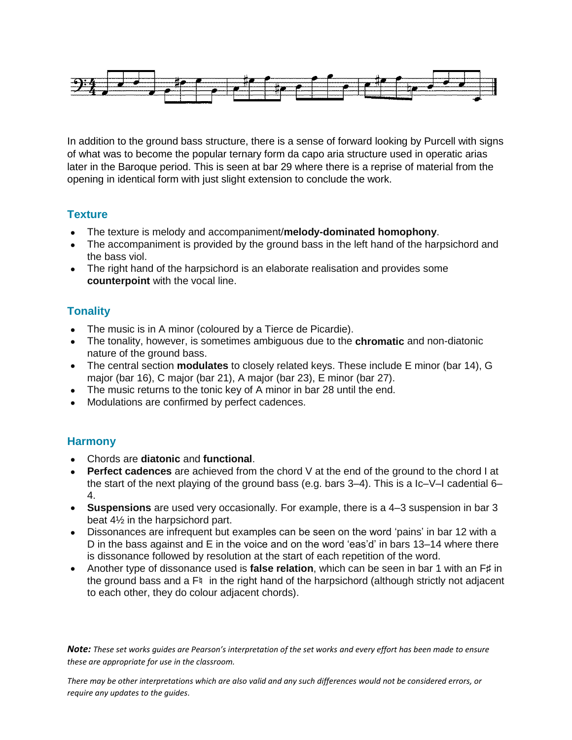

In addition to the ground bass structure, there is a sense of forward looking by Purcell with signs of what was to become the popular ternary form da capo aria structure used in operatic arias later in the Baroque period. This is seen at bar 29 where there is a reprise of material from the opening in identical form with just slight extension to conclude the work.

## **Texture**

- The texture is melody and accompaniment/**melody-dominated homophony**.
- The accompaniment is provided by the ground bass in the left hand of the harpsichord and the bass viol.
- The right hand of the harpsichord is an elaborate realisation and provides some **counterpoint** with the vocal line.

# **Tonality**

- The music is in A minor (coloured by a Tierce de Picardie).
- The tonality, however, is sometimes ambiguous due to the **chromatic** and non-diatonic nature of the ground bass.
- The central section **modulates** to closely related keys. These include E minor (bar 14), G major (bar 16), C major (bar 21), A major (bar 23), E minor (bar 27).
- The music returns to the tonic key of A minor in bar 28 until the end.
- Modulations are confirmed by perfect cadences.

# **Harmony**

- Chords are **diatonic** and **functional**.
- **Perfect cadences** are achieved from the chord V at the end of the ground to the chord I at the start of the next playing of the ground bass (e.g. bars 3–4). This is a Ic–V–I cadential 6– 4.
- **Suspensions** are used very occasionally. For example, there is a 4–3 suspension in bar 3 beat 4½ in the harpsichord part.
- Dissonances are infrequent but examples can be seen on the word 'pains' in bar 12 with a D in the bass against and E in the voice and on the word 'eas'd' in bars 13–14 where there is dissonance followed by resolution at the start of each repetition of the word.
- Another type of dissonance used is **false relation**, which can be seen in bar 1 with an F♯ in the ground bass and a F<sup> $\natural$ </sup> in the right hand of the harpsichord (although strictly not adjacent to each other, they do colour adjacent chords).

*Note: These set works guides are Pearson's interpretation of the set works and every effort has been made to ensure these are appropriate for use in the classroom.*